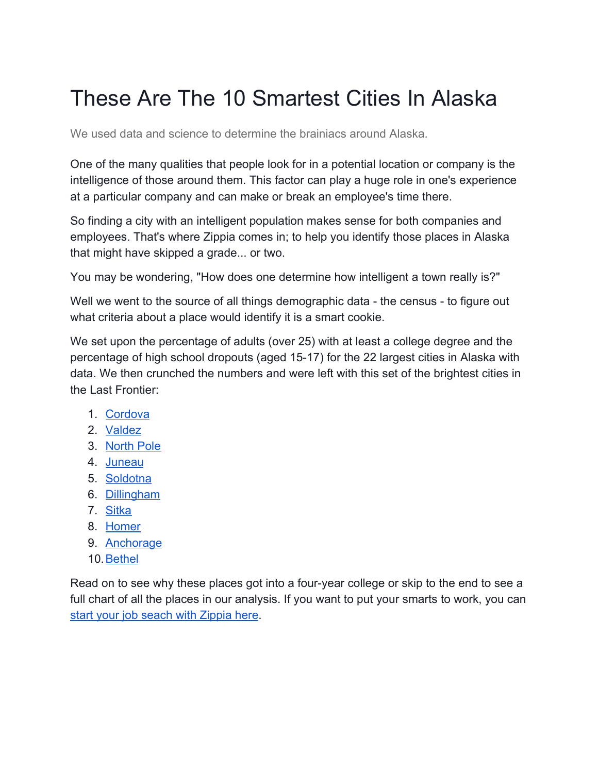### These Are The 10 Smartest Cities In Alaska

We used data and science to determine the brainiacs around Alaska.

One of the many qualities that people look for in a potential location or company is the intelligence of those around them. This factor can play a huge role in one's experience at a particular company and can make or break an employee's time there.

So finding a city with an intelligent population makes sense for both companies and employees. That's where Zippia comes in; to help you identify those places in Alaska that might have skipped a grade... or two.

You may be wondering, "How does one determine how intelligent a town really is?"

Well we went to the source of all things demographic data - the census - to figure out what criteria about a place would identify it is a smart cookie.

We set upon the percentage of adults (over 25) with at least a college degree and the percentage of high school dropouts (aged 15-17) for the 22 largest cities in Alaska with data. We then crunched the numbers and were left with this set of the brightest cities in the Last Frontier:

- 1. [Cordova](https://www.zippia.com/cordova-ak-jobs/)
- 2. [Valdez](https://www.zippia.com/valdez-ak-jobs/)
- 3. [North Pole](https://www.zippia.com/north-pole-ak-jobs/)
- 4. [Juneau](https://www.zippia.com/juneau-ak-jobs/)
- 5. [Soldotna](https://www.zippia.com/soldotna-ak-jobs/)
- 6. [Dillingham](https://www.zippia.com/dillingham-ak-jobs/)
- 7. [Sitka](https://www.zippia.com/sitka-ak-jobs/)
- 8. [Homer](https://www.zippia.com/homer-ak-jobs/)
- 9. [Anchorage](https://www.zippia.com/anchorage-ak-jobs/)
- 10. [Bethel](https://www.zippia.com/bethel-ak-jobs/)

Read on to see why these places got into a four-year college or skip to the end to see a full chart of all the places in our analysis. If you want to put your smarts to work, you can [start your job seach with Zippia here.](https://www.zippia.com/)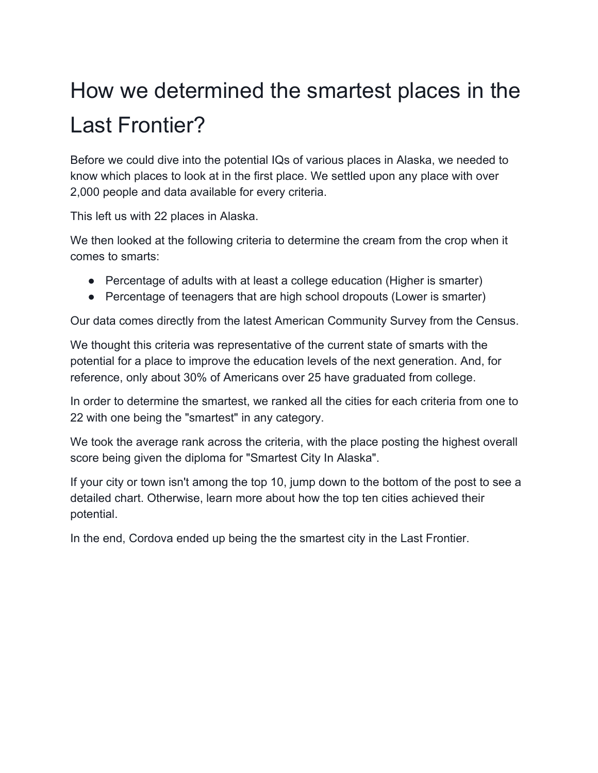# How we determined the smartest places in the Last Frontier?

Before we could dive into the potential IQs of various places in Alaska, we needed to know which places to look at in the first place. We settled upon any place with over 2,000 people and data available for every criteria.

This left us with 22 places in Alaska.

We then looked at the following criteria to determine the cream from the crop when it comes to smarts:

- Percentage of adults with at least a college education (Higher is smarter)
- Percentage of teenagers that are high school dropouts (Lower is smarter)

Our data comes directly from the latest American Community Survey from the Census.

We thought this criteria was representative of the current state of smarts with the potential for a place to improve the education levels of the next generation. And, for reference, only about 30% of Americans over 25 have graduated from college.

In order to determine the smartest, we ranked all the cities for each criteria from one to 22 with one being the "smartest" in any category.

We took the average rank across the criteria, with the place posting the highest overall score being given the diploma for "Smartest City In Alaska".

If your city or town isn't among the top 10, jump down to the bottom of the post to see a detailed chart. Otherwise, learn more about how the top ten cities achieved their potential.

In the end, Cordova ended up being the the smartest city in the Last Frontier.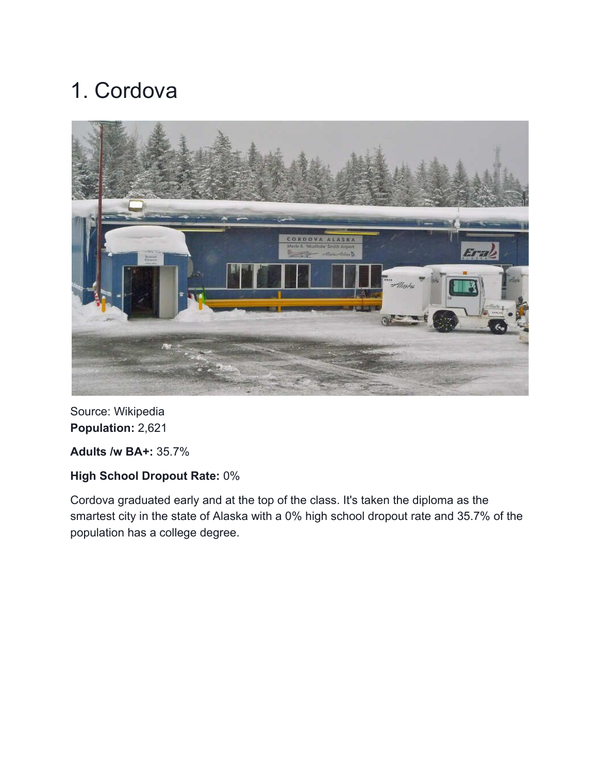## 1. Cordova



Source: Wikipedia **Population:** 2,621

### **Adults /w BA+:** 35.7%

#### **High School Dropout Rate:** 0%

Cordova graduated early and at the top of the class. It's taken the diploma as the smartest city in the state of Alaska with a 0% high school dropout rate and 35.7% of the population has a college degree.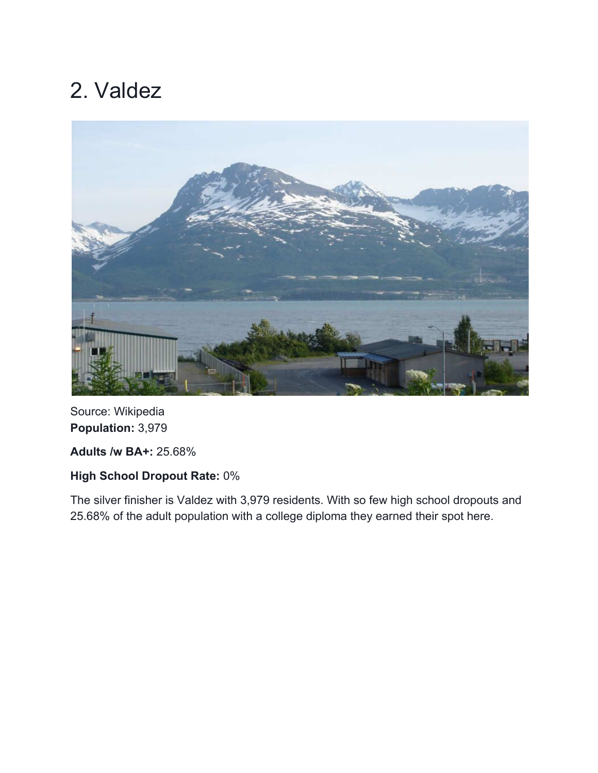### 2. Valdez



Source: Wikipedia **Population:** 3,979

**Adults /w BA+:** 25.68%

### **High School Dropout Rate:** 0%

The silver finisher is Valdez with 3,979 residents. With so few high school dropouts and 25.68% of the adult population with a college diploma they earned their spot here.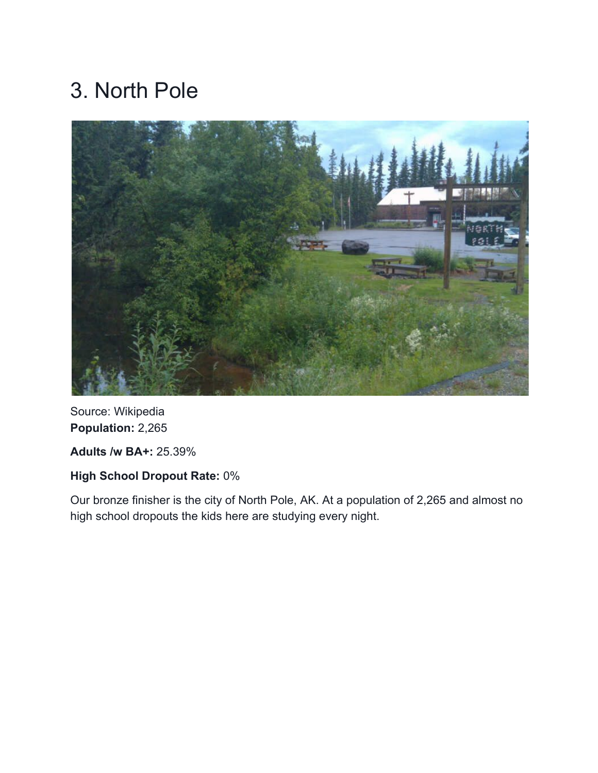## 3. North Pole



Source: Wikipedia **Population:** 2,265

### **Adults /w BA+:** 25.39%

### **High School Dropout Rate:** 0%

Our bronze finisher is the city of North Pole, AK. At a population of 2,265 and almost no high school dropouts the kids here are studying every night.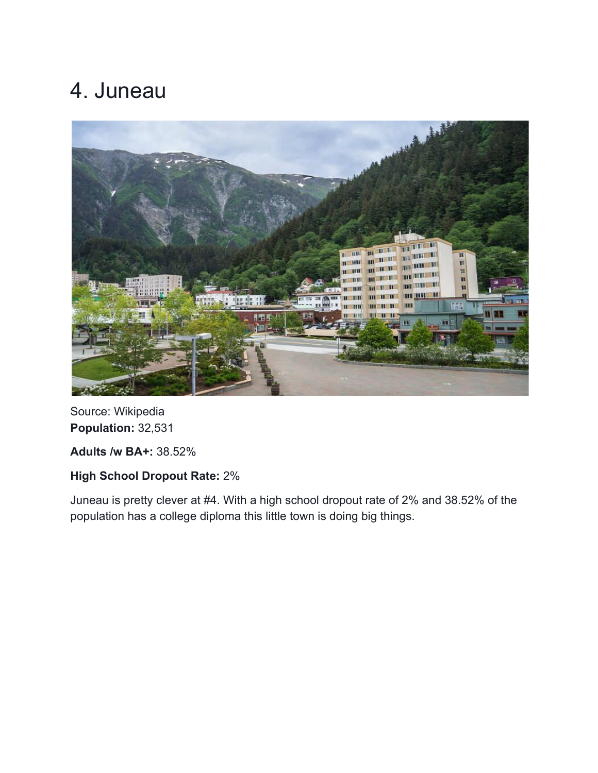### 4. Juneau



Source: Wikipedia **Population:** 32,531

### **Adults /w BA+:** 38.52%

### **High School Dropout Rate:** 2%

Juneau is pretty clever at #4. With a high school dropout rate of 2% and 38.52% of the population has a college diploma this little town is doing big things.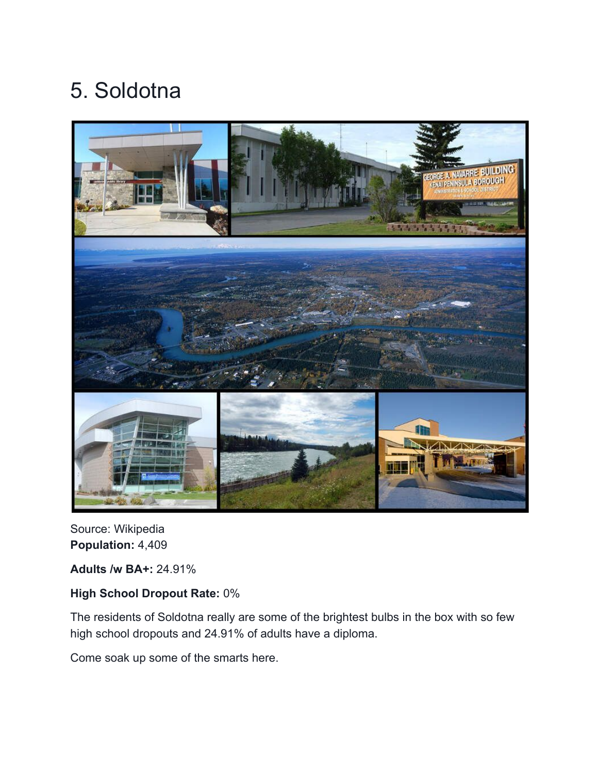## 5. Soldotna



Source: Wikipedia **Population:** 4,409

**Adults /w BA+:** 24.91%

### **High School Dropout Rate:** 0%

The residents of Soldotna really are some of the brightest bulbs in the box with so few high school dropouts and 24.91% of adults have a diploma.

Come soak up some of the smarts here.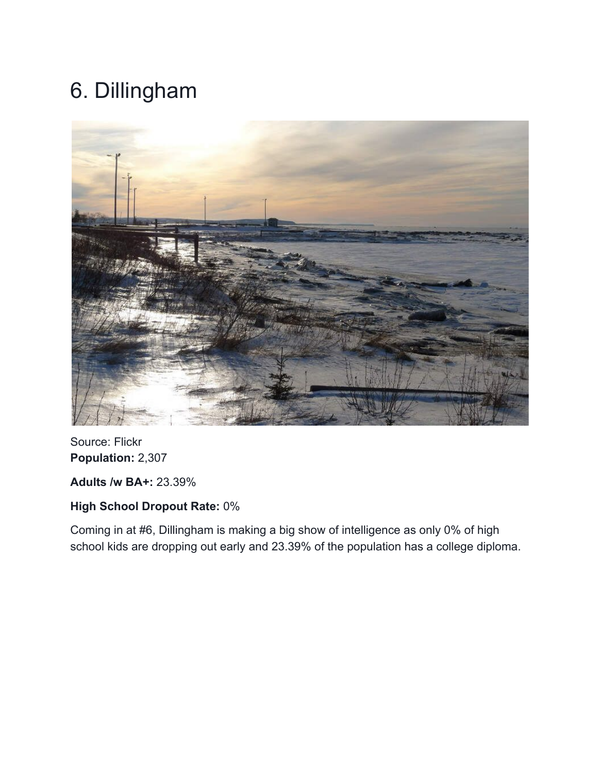## 6. Dillingham



Source: Flickr **Population:** 2,307

**Adults /w BA+:** 23.39%

### **High School Dropout Rate:** 0%

Coming in at #6, Dillingham is making a big show of intelligence as only 0% of high school kids are dropping out early and 23.39% of the population has a college diploma.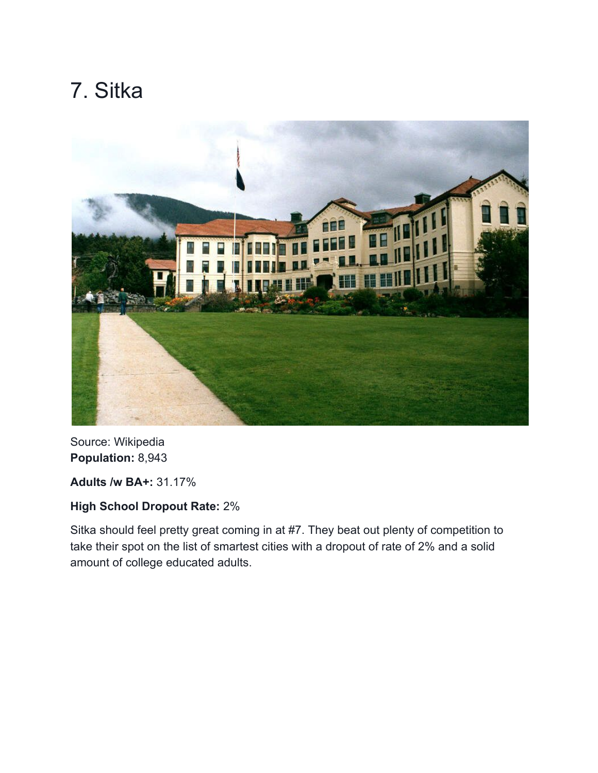## 7. Sitka



Source: Wikipedia **Population:** 8,943

**Adults /w BA+:** 31.17%

### **High School Dropout Rate:** 2%

Sitka should feel pretty great coming in at #7. They beat out plenty of competition to take their spot on the list of smartest cities with a dropout of rate of 2% and a solid amount of college educated adults.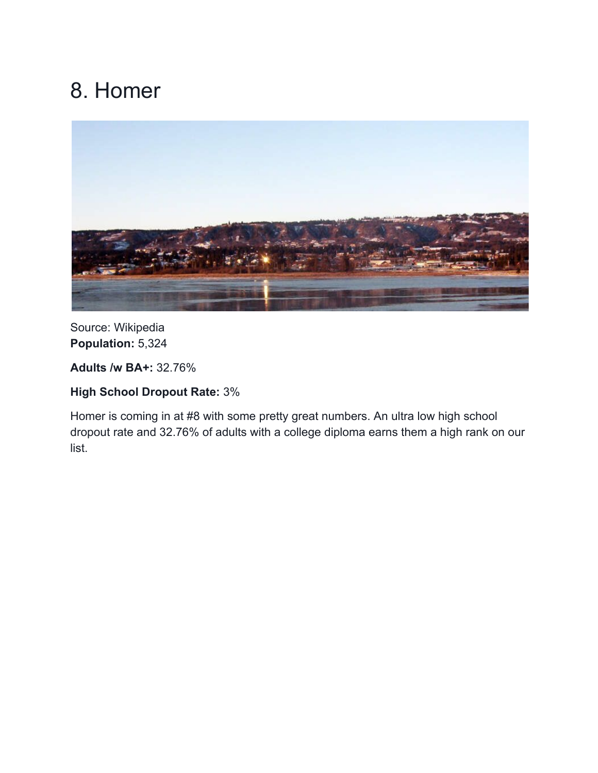### 8. Homer



Source: Wikipedia **Population:** 5,324

**Adults /w BA+:** 32.76%

### **High School Dropout Rate:** 3%

Homer is coming in at #8 with some pretty great numbers. An ultra low high school dropout rate and 32.76% of adults with a college diploma earns them a high rank on our list.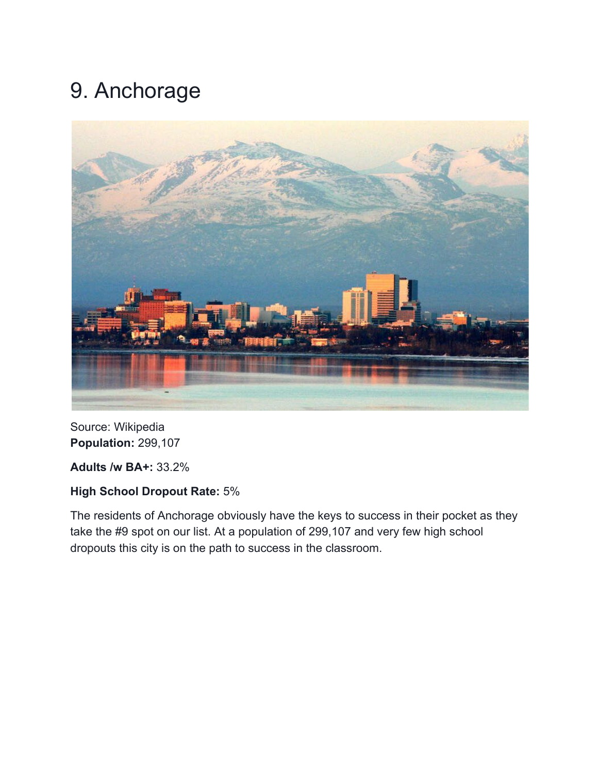## 9. Anchorage



Source: Wikipedia **Population:** 299,107

**Adults /w BA+:** 33.2%

### **High School Dropout Rate:** 5%

The residents of Anchorage obviously have the keys to success in their pocket as they take the #9 spot on our list. At a population of 299,107 and very few high school dropouts this city is on the path to success in the classroom.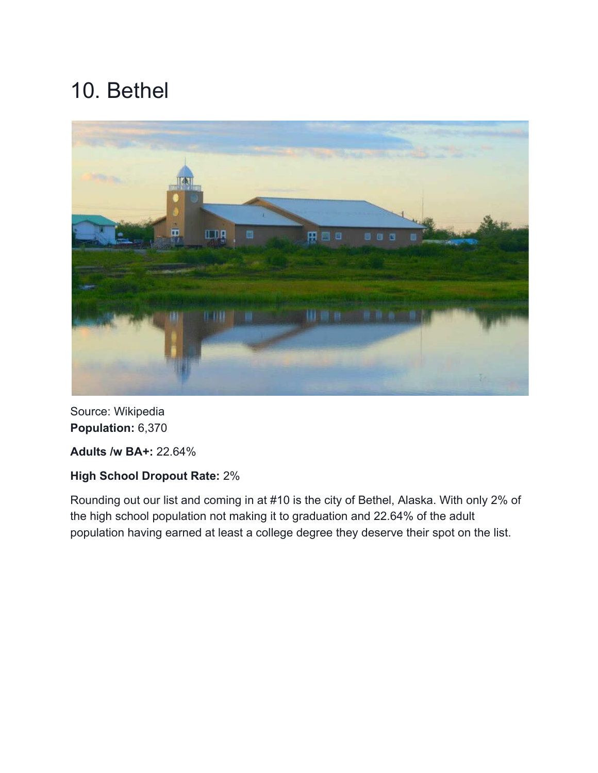## 10. Bethel



Source: Wikipedia **Population:** 6,370

### **Adults /w BA+:** 22.64%

### **High School Dropout Rate:** 2%

Rounding out our list and coming in at #10 is the city of Bethel, Alaska. With only 2% of the high school population not making it to graduation and 22.64% of the adult population having earned at least a college degree they deserve their spot on the list.